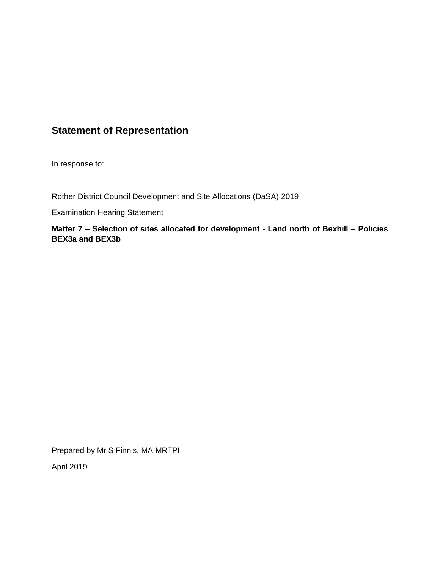## **Statement of Representation**

In response to:

Rother District Council Development and Site Allocations (DaSA) 2019

Examination Hearing Statement

**Matter 7 – Selection of sites allocated for development - Land north of Bexhill – Policies BEX3a and BEX3b**

Prepared by Mr S Finnis, MA MRTPI

April 2019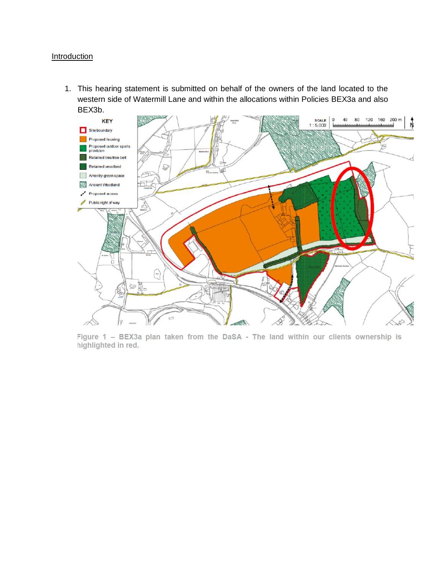## **Introduction**

1. This hearing statement is submitted on behalf of the owners of the land located to the western side of Watermill Lane and within the allocations within Policies BEX3a and also BEX3b.



Figure 1 - BEX3a plan taken from the DaSA - The land within our clients ownership is highlighted in red.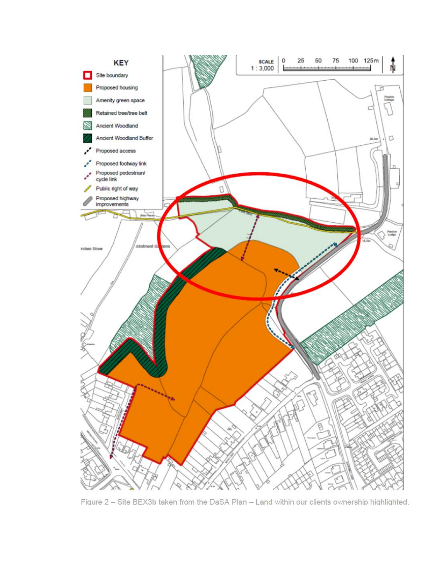

Figure 2 - Site BEX3b taken from the DaSA Plan - Land within our clients ownership highlighted.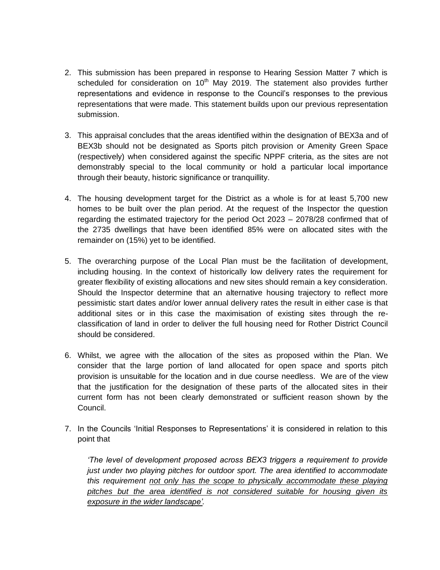- 2. This submission has been prepared in response to Hearing Session Matter 7 which is scheduled for consideration on  $10<sup>th</sup>$  May 2019. The statement also provides further representations and evidence in response to the Council's responses to the previous representations that were made. This statement builds upon our previous representation submission.
- 3. This appraisal concludes that the areas identified within the designation of BEX3a and of BEX3b should not be designated as Sports pitch provision or Amenity Green Space (respectively) when considered against the specific NPPF criteria, as the sites are not demonstrably special to the local community or hold a particular local importance through their beauty, historic significance or tranquillity.
- 4. The housing development target for the District as a whole is for at least 5,700 new homes to be built over the plan period. At the request of the Inspector the question regarding the estimated trajectory for the period Oct 2023 – 2078/28 confirmed that of the 2735 dwellings that have been identified 85% were on allocated sites with the remainder on (15%) yet to be identified.
- 5. The overarching purpose of the Local Plan must be the facilitation of development, including housing. In the context of historically low delivery rates the requirement for greater flexibility of existing allocations and new sites should remain a key consideration. Should the Inspector determine that an alternative housing trajectory to reflect more pessimistic start dates and/or lower annual delivery rates the result in either case is that additional sites or in this case the maximisation of existing sites through the reclassification of land in order to deliver the full housing need for Rother District Council should be considered.
- 6. Whilst, we agree with the allocation of the sites as proposed within the Plan. We consider that the large portion of land allocated for open space and sports pitch provision is unsuitable for the location and in due course needless. We are of the view that the justification for the designation of these parts of the allocated sites in their current form has not been clearly demonstrated or sufficient reason shown by the Council.
- 7. In the Councils 'Initial Responses to Representations' it is considered in relation to this point that

*'The level of development proposed across BEX3 triggers a requirement to provide just under two playing pitches for outdoor sport. The area identified to accommodate this requirement not only has the scope to physically accommodate these playing pitches but the area identified is not considered suitable for housing given its exposure in the wider landscape'.*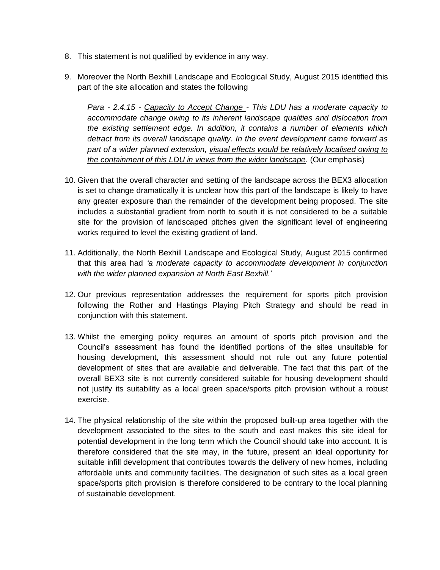- 8. This statement is not qualified by evidence in any way.
- 9. Moreover the North Bexhill Landscape and Ecological Study, August 2015 identified this part of the site allocation and states the following

*Para - 2.4.15 - Capacity to Accept Change - This LDU has a moderate capacity to accommodate change owing to its inherent landscape qualities and dislocation from the existing settlement edge. In addition, it contains a number of elements which detract from its overall landscape quality. In the event development came forward as part of a wider planned extension, visual effects would be relatively localised owing to the containment of this LDU in views from the wider landscape.* (Our emphasis)

- 10. Given that the overall character and setting of the landscape across the BEX3 allocation is set to change dramatically it is unclear how this part of the landscape is likely to have any greater exposure than the remainder of the development being proposed. The site includes a substantial gradient from north to south it is not considered to be a suitable site for the provision of landscaped pitches given the significant level of engineering works required to level the existing gradient of land.
- 11. Additionally, the North Bexhill Landscape and Ecological Study, August 2015 confirmed that this area had *'a moderate capacity to accommodate development in conjunction with the wider planned expansion at North East Bexhill.*'
- 12. Our previous representation addresses the requirement for sports pitch provision following the Rother and Hastings Playing Pitch Strategy and should be read in conjunction with this statement.
- 13. Whilst the emerging policy requires an amount of sports pitch provision and the Council's assessment has found the identified portions of the sites unsuitable for housing development, this assessment should not rule out any future potential development of sites that are available and deliverable. The fact that this part of the overall BEX3 site is not currently considered suitable for housing development should not justify its suitability as a local green space/sports pitch provision without a robust exercise.
- 14. The physical relationship of the site within the proposed built-up area together with the development associated to the sites to the south and east makes this site ideal for potential development in the long term which the Council should take into account. It is therefore considered that the site may, in the future, present an ideal opportunity for suitable infill development that contributes towards the delivery of new homes, including affordable units and community facilities. The designation of such sites as a local green space/sports pitch provision is therefore considered to be contrary to the local planning of sustainable development.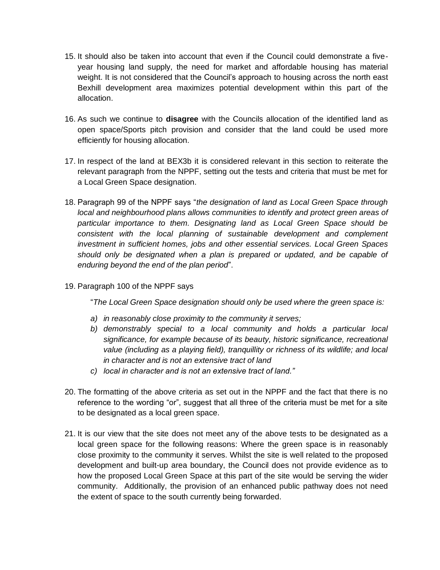- 15. It should also be taken into account that even if the Council could demonstrate a fiveyear housing land supply, the need for market and affordable housing has material weight. It is not considered that the Council's approach to housing across the north east Bexhill development area maximizes potential development within this part of the allocation.
- 16. As such we continue to **disagree** with the Councils allocation of the identified land as open space/Sports pitch provision and consider that the land could be used more efficiently for housing allocation.
- 17. In respect of the land at BEX3b it is considered relevant in this section to reiterate the relevant paragraph from the NPPF, setting out the tests and criteria that must be met for a Local Green Space designation.
- 18. Paragraph 99 of the NPPF says "*the designation of land as Local Green Space through local and neighbourhood plans allows communities to identify and protect green areas of particular importance to them. Designating land as Local Green Space should be consistent with the local planning of sustainable development and complement investment in sufficient homes, jobs and other essential services. Local Green Spaces should only be designated when a plan is prepared or updated, and be capable of enduring beyond the end of the plan period*".
- 19. Paragraph 100 of the NPPF says

"*The Local Green Space designation should only be used where the green space is:* 

- *a) in reasonably close proximity to the community it serves;*
- *b) demonstrably special to a local community and holds a particular local significance, for example because of its beauty, historic significance, recreational value (including as a playing field), tranquillity or richness of its wildlife; and local in character and is not an extensive tract of land*
- *c) local in character and is not an extensive tract of land."*
- 20. The formatting of the above criteria as set out in the NPPF and the fact that there is no reference to the wording "or", suggest that all three of the criteria must be met for a site to be designated as a local green space.
- 21. It is our view that the site does not meet any of the above tests to be designated as a local green space for the following reasons: Where the green space is in reasonably close proximity to the community it serves. Whilst the site is well related to the proposed development and built-up area boundary, the Council does not provide evidence as to how the proposed Local Green Space at this part of the site would be serving the wider community. Additionally, the provision of an enhanced public pathway does not need the extent of space to the south currently being forwarded.